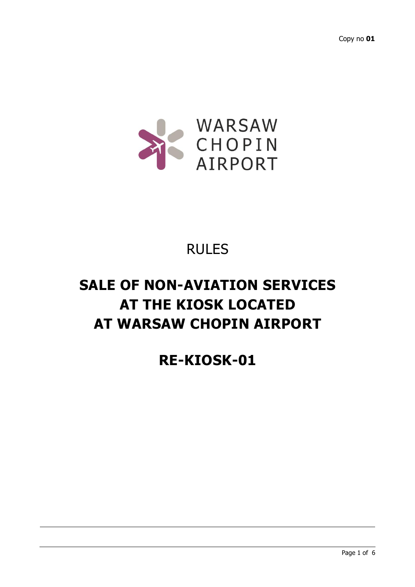

## RULES

# **SALE OF NON-AVIATION SERVICES AT THE KIOSK LOCATED AT WARSAW CHOPIN AIRPORT**

### **RE-KIOSK-01**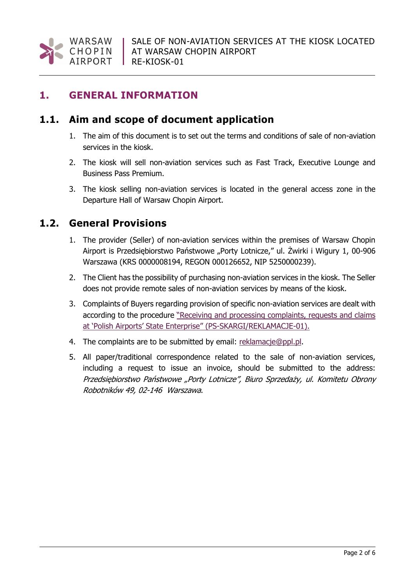

#### **1. GENERAL INFORMATION**

#### **1.1. Aim and scope of document application**

- 1. The aim of this document is to set out the terms and conditions of sale of non-aviation services in the kiosk.
- 2. The kiosk will sell non-aviation services such as Fast Track, Executive Lounge and Business Pass Premium.
- 3. The kiosk selling non-aviation services is located in the general access zone in the Departure Hall of Warsaw Chopin Airport.

#### **1.2. General Provisions**

- 1. The provider (Seller) of non-aviation services within the premises of Warsaw Chopin Airport is Przedsiębiorstwo Państwowe "Porty Lotnicze," ul. Żwirki i Wigury 1, 00-906 Warszawa (KRS 0000008194, REGON 000126652, NIP 5250000239).
- 2. The Client has the possibility of purchasing non-aviation services in the kiosk. The Seller does not provide remote sales of non-aviation services by means of the kiosk.
- 3. Complaints of Buyers regarding provision of specific non-aviation services are dealt with according to the procedure "Receiving and processing complaints, requests and claims at 'Polish Airports' State Enterprise" (PS-SKARGI/REKLAMACJE-01).
- 4. The complaints are to be submitted by email: [reklamacje@ppl.pl.](mailto:reklamacje@ppl.pl)
- 5. All paper/traditional correspondence related to the sale of non-aviation services, including a request to issue an invoice, should be submitted to the address: Przedsiębiorstwo Państwowe "Porty Lotnicze", Biuro Sprzedaży, ul. Komitetu Obrony Robotników 49, 02-146 Warszawa.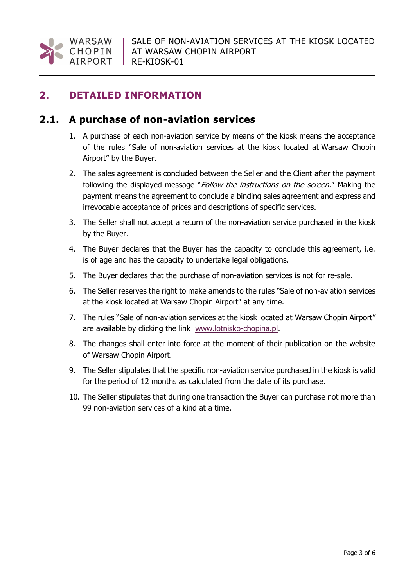

#### **2. DETAILED INFORMATION**

#### **2.1. A purchase of non-aviation services**

- 1. A purchase of each non-aviation service by means of the kiosk means the acceptance of the rules "Sale of non-aviation services at the kiosk located at Warsaw Chopin Airport" by the Buyer.
- 2. The sales agreement is concluded between the Seller and the Client after the payment following the displayed message "*Follow the instructions on the screen.*" Making the payment means the agreement to conclude a binding sales agreement and express and irrevocable acceptance of prices and descriptions of specific services.
- 3. The Seller shall not accept a return of the non-aviation service purchased in the kiosk by the Buyer.
- 4. The Buyer declares that the Buyer has the capacity to conclude this agreement, i.e. is of age and has the capacity to undertake legal obligations.
- 5. The Buyer declares that the purchase of non-aviation services is not for re-sale.
- 6. The Seller reserves the right to make amends to the rules "Sale of non-aviation services at the kiosk located at Warsaw Chopin Airport" at any time.
- 7. The rules "Sale of non-aviation services at the kiosk located at Warsaw Chopin Airport" are available by clicking the link [www.lotnisko-chopina.pl.](http://www.lotnisko-chopina.pl/)
- 8. The changes shall enter into force at the moment of their publication on the website of Warsaw Chopin Airport.
- 9. The Seller stipulates that the specific non-aviation service purchased in the kiosk is valid for the period of 12 months as calculated from the date of its purchase.
- 10. The Seller stipulates that during one transaction the Buyer can purchase not more than 99 non-aviation services of a kind at a time.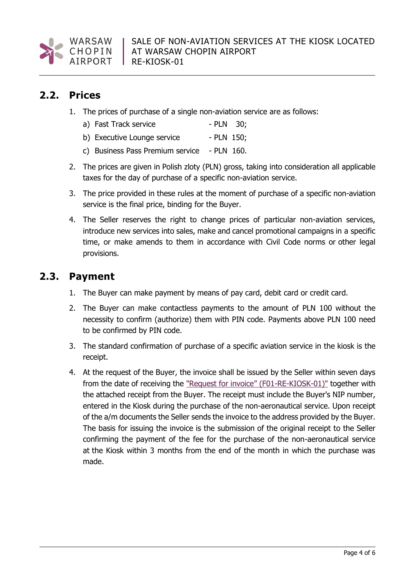

#### **2.2. Prices**

1. The prices of purchase of a single non-aviation service are as follows:

| a) Fast Track service | $-$ PLN 30; |  |
|-----------------------|-------------|--|
|-----------------------|-------------|--|

- b) Executive Lounge service PLN 150;
- c) Business Pass Premium service PLN 160.
- 2. The prices are given in Polish zloty (PLN) gross, taking into consideration all applicable taxes for the day of purchase of a specific non-aviation service.
- 3. The price provided in these rules at the moment of purchase of a specific non-aviation service is the final price, binding for the Buyer.
- 4. The Seller reserves the right to change prices of particular non-aviation services, introduce new services into sales, make and cancel promotional campaigns in a specific time, or make amends to them in accordance with Civil Code norms or other legal provisions.

#### **2.3. Payment**

- 1. The Buyer can make payment by means of pay card, debit card or credit card.
- 2. The Buyer can make contactless payments to the amount of PLN 100 without the necessity to confirm (authorize) them with PIN code. Payments above PLN 100 need to be confirmed by PIN code.
- 3. The standard confirmation of purchase of a specific aviation service in the kiosk is the receipt.
- 4. At the request of the Buyer, the invoice shall be issued by the Seller within seven days from the date of receiving the ["Request for invoice](https://portal.ppl/systemy/Dokumentacja_ZSZ/RE-KIOSK-01_EN/F01-RE-KIOSK-01%20Request%20for%20invoice.pdf)" (F01-RE-KIOSK-01)" together with the attached receipt from the Buyer. The receipt must include the Buyer's NIP number, entered in the Kiosk during the purchase of the non-aeronautical service. Upon receipt of the a/m documents the Seller sends the invoice to the address provided by the Buyer. The basis for issuing the invoice is the submission of the original receipt to the Seller confirming the payment of the fee for the purchase of the non-aeronautical service at the Kiosk within 3 months from the end of the month in which the purchase was made.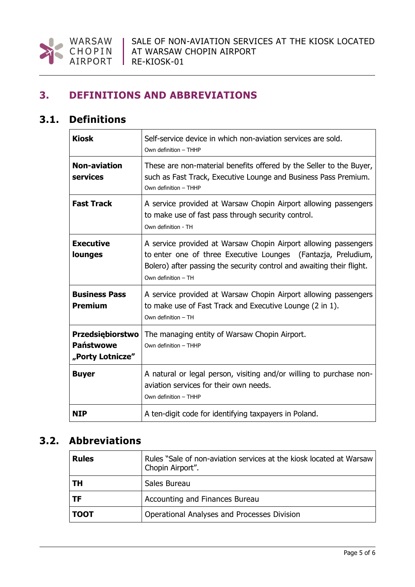

#### **3. DEFINITIONS AND ABBREVIATIONS**

#### **3.1. Definitions**

| <b>Kiosk</b>                                                    | Self-service device in which non-aviation services are sold.<br>Own definition - THHP                                                                                                                                            |
|-----------------------------------------------------------------|----------------------------------------------------------------------------------------------------------------------------------------------------------------------------------------------------------------------------------|
| <b>Non-aviation</b><br>services                                 | These are non-material benefits offered by the Seller to the Buyer,<br>such as Fast Track, Executive Lounge and Business Pass Premium.<br>Own definition - THHP                                                                  |
| <b>Fast Track</b>                                               | A service provided at Warsaw Chopin Airport allowing passengers<br>to make use of fast pass through security control.<br>Own definition - TH                                                                                     |
| <b>Executive</b><br>lounges                                     | A service provided at Warsaw Chopin Airport allowing passengers<br>to enter one of three Executive Lounges (Fantazja, Preludium,<br>Bolero) after passing the security control and awaiting their flight.<br>Own definition - TH |
| <b>Business Pass</b><br><b>Premium</b>                          | A service provided at Warsaw Chopin Airport allowing passengers<br>to make use of Fast Track and Executive Lounge (2 in 1).<br>Own definition - TH                                                                               |
| <b>Przedsiębiorstwo</b><br><b>Państwowe</b><br>"Porty Lotnicze" | The managing entity of Warsaw Chopin Airport.<br>Own definition - THHP                                                                                                                                                           |
| <b>Buyer</b>                                                    | A natural or legal person, visiting and/or willing to purchase non-<br>aviation services for their own needs.<br>Own definition - THHP                                                                                           |
| <b>NIP</b>                                                      | A ten-digit code for identifying taxpayers in Poland.                                                                                                                                                                            |

### **3.2. Abbreviations**

| <b>Rules</b> | Rules "Sale of non-aviation services at the kiosk located at Warsaw<br>Chopin Airport". |  |
|--------------|-----------------------------------------------------------------------------------------|--|
| TН           | Sales Bureau                                                                            |  |
| TF           | Accounting and Finances Bureau                                                          |  |
| <b>TOOT</b>  | Operational Analyses and Processes Division                                             |  |